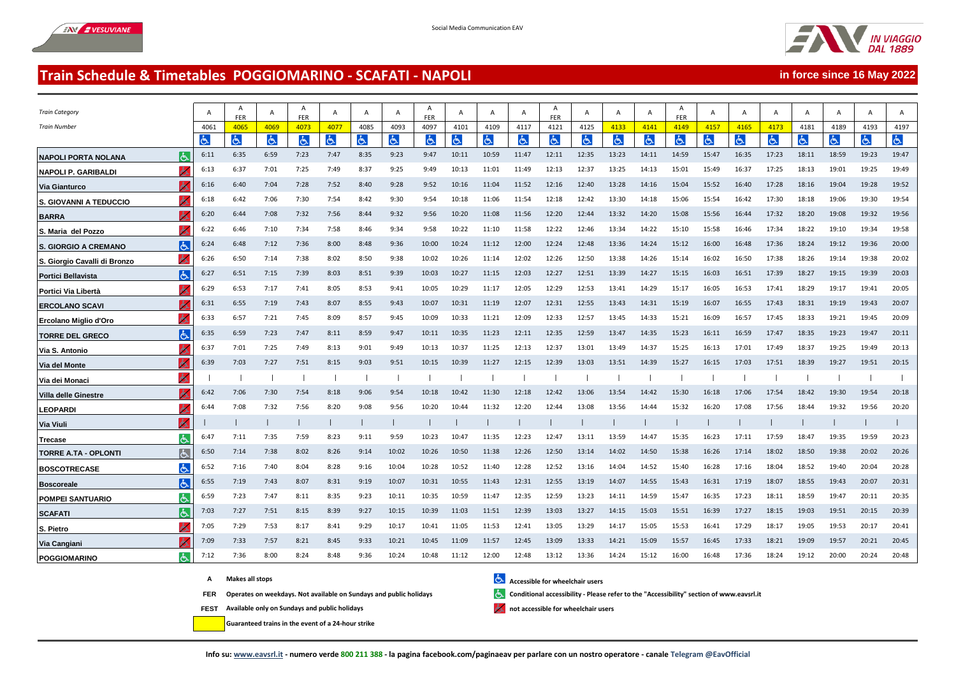

**in force since 16 May 2022**

## **Train Schedule & Timetables POGGIOMARINO - SCAFATI - NAPOLI**

| <b>Train Category</b>                       | A    | A<br><b>FER</b> | A              | Α<br>FER | A              | A    | A     | A<br>FER | A     | A     | A     | A<br><b>FER</b> | A     | A     | A     | A<br><b>FER</b> | A     | A     | A     | A     | $\mathsf{A}$ | A     | A              |  |
|---------------------------------------------|------|-----------------|----------------|----------|----------------|------|-------|----------|-------|-------|-------|-----------------|-------|-------|-------|-----------------|-------|-------|-------|-------|--------------|-------|----------------|--|
| <b>Train Number</b>                         | 4061 | 4065            | 4069           | 4073     | 4077           | 4085 | 4093  | 4097     | 4101  | 4109  | 4117  | 4121            | 4125  | 4133  | 4141  | 4149            | 4157  | 4165  | 4173  | 4181  | 4189         | 4193  | 4197           |  |
|                                             | しん   | Ġ.              | $ \mathbf{P} $ | ය        | $\mathfrak{S}$ | 占    | と     | と        | と     | よ     | ŀЬ.   | と               | ŀБ.   | と     | d     | 占               | と     | Ġ.    | 占     | 占     | G.           | と     | $\mathfrak{S}$ |  |
| <b>NAPOLI PORTA NOLANA</b><br>lරා           | 6:11 | 6:35            | 6:59           | 7:23     | 7:47           | 8:35 | 9:23  | 9:47     | 10:11 | 10:59 | 11:47 | 12:11           | 12:35 | 13:23 | 14:11 | 14:59           | 15:47 | 16:35 | 17:23 | 18:11 | 18:59        | 19:23 | 19:47          |  |
| <b>NAPOLI P. GARIBALDI</b>                  | 6:13 | 6:37            | 7:01           | 7:25     | 7:49           | 8:37 | 9:25  | 9:49     | 10:13 | 11:01 | 11:49 | 12:13           | 12:37 | 13:25 | 14:13 | 15:01           | 15:49 | 16:37 | 17:25 | 18:13 | 19:01        | 19:25 | 19:49          |  |
| Via Gianturco                               | 6:16 | 6:40            | 7:04           | 7:28     | 7:52           | 8:40 | 9:28  | 9:52     | 10:16 | 11:04 | 11:52 | 12:16           | 12:40 | 13:28 | 14:16 | 15:04           | 15:52 | 16:40 | 17:28 | 18:16 | 19:04        | 19:28 | 19:52          |  |
| S. GIOVANNI A TEDUCCIO                      | 6:18 | 6:42            | 7:06           | 7:30     | 7:54           | 8:42 | 9:30  | 9:54     | 10:18 | 11:06 | 11:54 | 12:18           | 12:42 | 13:30 | 14:18 | 15:06           | 15:54 | 16:42 | 17:30 | 18:18 | 19:06        | 19:30 | 19:54          |  |
| <b>BARRA</b>                                | 6:20 | 6:44            | 7:08           | 7:32     | 7:56           | 8:44 | 9:32  | 9:56     | 10:20 | 11:08 | 11:56 | 12:20           | 12:44 | 13:32 | 14:20 | 15:08           | 15:56 | 16:44 | 17:32 | 18:20 | 19:08        | 19:32 | 19:56          |  |
| S. Maria del Pozzo                          | 6:22 | 6:46            | 7:10           | 7:34     | 7:58           | 8:46 | 9:34  | 9:58     | 10:22 | 11:10 | 11:58 | 12:22           | 12:46 | 13:34 | 14:22 | 15:10           | 15:58 | 16:46 | 17:34 | 18:22 | 19:10        | 19:34 | 19:58          |  |
| る<br><b>S. GIORGIO A CREMANO</b>            | 6:24 | 6:48            | 7:12           | 7:36     | 8:00           | 8:48 | 9:36  | 10:00    | 10:24 | 11:12 | 12:00 | 12:24           | 12:48 | 13:36 | 14:24 | 15:12           | 16:00 | 16:48 | 17:36 | 18:24 | 19:12        | 19:36 | 20:00          |  |
| $\mathbf b$<br>S. Giorgio Cavalli di Bronzo | 6:26 | 6:50            | 7:14           | 7:38     | 8:02           | 8:50 | 9:38  | 10:02    | 10:26 | 11:14 | 12:02 | 12:26           | 12:50 | 13:38 | 14:26 | 15:14           | 16:02 | 16:50 | 17:38 | 18:26 | 19:14        | 19:38 | 20:02          |  |
| lė.<br><b>Portici Bellavista</b>            | 6:27 | 6:51            | 7:15           | 7:39     | 8:03           | 8:51 | 9:39  | 10:03    | 10:27 | 11:15 | 12:03 | 12:27           | 12:51 | 13:39 | 14:27 | 15:15           | 16:03 | 16:51 | 17:39 | 18:27 | 19:15        | 19:39 | 20:03          |  |
| Portici Via Libertà                         | 6:29 | 6:53            | 7:17           | 7:41     | 8:05           | 8:53 | 9:41  | 10:05    | 10:29 | 11:17 | 12:05 | 12:29           | 12:53 | 13:41 | 14:29 | 15:17           | 16:05 | 16:53 | 17:41 | 18:29 | 19:17        | 19:41 | 20:05          |  |
| <b>ERCOLANO SCAVI</b>                       | 6:31 | 6:55            | 7:19           | 7:43     | 8:07           | 8:55 | 9:43  | 10:07    | 10:31 | 11:19 | 12:07 | 12:31           | 12:55 | 13:43 | 14:31 | 15:19           | 16:07 | 16:55 | 17:43 | 18:31 | 19:19        | 19:43 | 20:07          |  |
| ሖ<br>Ercolano Miglio d'Oro                  | 6:33 | 6:57            | 7:21           | 7:45     | 8:09           | 8:57 | 9:45  | 10:09    | 10:33 | 11:21 | 12:09 | 12:33           | 12:57 | 13:45 | 14:33 | 15:21           | 16:09 | 16:57 | 17:45 | 18:33 | 19:21        | 19:45 | 20:09          |  |
| <b>TORRE DEL GRECO</b>                      | 6:35 | 6:59            | 7:23           | 7:47     | 8:11           | 8:59 | 9:47  | 10:11    | 10:35 | 11:23 | 12:11 | 12:35           | 12:59 | 13:47 | 14:35 | 15:23           | 16:11 | 16:59 | 17:47 | 18:35 | 19:23        | 19:47 | 20:11          |  |
| Via S. Antonio                              | 6:37 | 7:01            | 7:25           | 7:49     | 8:13           | 9:01 | 9:49  | 10:13    | 10:37 | 11:25 | 12:13 | 12:37           | 13:01 | 13:49 | 14:37 | 15:25           | 16:13 | 17:01 | 17:49 | 18:37 | 19:25        | 19:49 | 20:13          |  |
| ò<br>Via del Monte                          | 6:39 | 7:03            | 7:27           | 7:51     | 8:15           | 9:03 | 9:51  | 10:15    | 10:39 | 11:27 | 12:15 | 12:39           | 13:03 | 13:51 | 14:39 | 15:27           | 16:15 | 17:03 | 17:51 | 18:39 | 19:27        | 19:51 | 20:15          |  |
| $\epsilon$<br>Via dei Monaci                |      |                 |                |          |                |      |       |          |       |       |       |                 |       |       |       |                 |       |       |       |       |              |       |                |  |
| Villa delle Ginestre                        | 6:42 | 7:06            | 7:30           | 7:54     | 8:18           | 9:06 | 9:54  | 10:18    | 10:42 | 11:30 | 12:18 | 12:42           | 13:06 | 13:54 | 14:42 | 15:30           | 16:18 | 17:06 | 17:54 | 18:42 | 19:30        | 19:54 | 20:18          |  |
| <b>LEOPARDI</b>                             | 6:44 | 7:08            | 7:32           | 7:56     | 8:20           | 9:08 | 9:56  | 10:20    | 10:44 | 11:32 | 12:20 | 12:44           | 13:08 | 13:56 | 14:44 | 15:32           | 16:20 | 17:08 | 17:56 | 18:44 | 19:32        | 19:56 | 20:20          |  |
| $\lambda$<br><b>Via Viuli</b>               |      |                 |                |          |                |      |       |          |       |       |       |                 |       |       |       |                 |       |       |       |       |              |       |                |  |
| $\overline{d}$<br>Trecase                   | 6:47 | 7:11            | 7:35           | 7:59     | 8:23           | 9:11 | 9:59  | 10:23    | 10:47 | 11:35 | 12:23 | 12:47           | 13:11 | 13:59 | 14:47 | 15:35           | 16:23 | 17:11 | 17:59 | 18:47 | 19:35        | 19:59 | 20:23          |  |
| lė.<br>TORRE A.TA - OPLONTI                 | 6:50 | 7:14            | 7:38           | 8:02     | 8:26           | 9:14 | 10:02 | 10:26    | 10:50 | 11:38 | 12:26 | 12:50           | 13:14 | 14:02 | 14:50 | 15:38           | 16:26 | 17:14 | 18:02 | 18:50 | 19:38        | 20:02 | 20:26          |  |
| と<br><b>BOSCOTRECASE</b>                    | 6:52 | 7:16            | 7:40           | 8:04     | 8:28           | 9:16 | 10:04 | 10:28    | 10:52 | 11:40 | 12:28 | 12:52           | 13:16 | 14:04 | 14:52 | 15:40           | 16:28 | 17:16 | 18:04 | 18:52 | 19:40        | 20:04 | 20:28          |  |
| ほ<br><b>Boscoreale</b>                      | 6:55 | 7:19            | 7:43           | 8:07     | 8:31           | 9:19 | 10:07 | 10:31    | 10:55 | 11:43 | 12:31 | 12:55           | 13:19 | 14:07 | 14:55 | 15:43           | 16:31 | 17:19 | 18:07 | 18:55 | 19:43        | 20:07 | 20:31          |  |
| しょ<br><b>POMPEI SANTUARIO</b>               | 6:59 | 7:23            | 7:47           | 8:11     | 8:35           | 9:23 | 10:11 | 10:35    | 10:59 | 11:47 | 12:35 | 12:59           | 13:23 | 14:11 | 14:59 | 15:47           | 16:35 | 17:23 | 18:11 | 18:59 | 19:47        | 20:11 | 20:35          |  |
| <b>SCAFATI</b>                              | 7:03 | 7:27            | 7:51           | 8:15     | 8:39           | 9:27 | 10:15 | 10:39    | 11:03 | 11:51 | 12:39 | 13:03           | 13:27 | 14:15 | 15:03 | 15:51           | 16:39 | 17:27 | 18:15 | 19:03 | 19:51        | 20:15 | 20:39          |  |
| S. Pietro                                   | 7:05 | 7:29            | 7:53           | 8:17     | 8:41           | 9:29 | 10:17 | 10:41    | 11:05 | 11:53 | 12:41 | 13:05           | 13:29 | 14:17 | 15:05 | 15:53           | 16:41 | 17:29 | 18:17 | 19:05 | 19:53        | 20:17 | 20:41          |  |
| Via Cangiani                                | 7:09 | 7:33            | 7:57           | 8:21     | 8:45           | 9:33 | 10:21 | 10:45    | 11:09 | 11:57 | 12:45 | 13:09           | 13:33 | 14:21 | 15:09 | 15:57           | 16:45 | 17:33 | 18:21 | 19:09 | 19:57        | 20:21 | 20:45          |  |
| よ<br><b>POGGIOMARINO</b>                    | 7:12 | 7:36            | 8:00           | 8:24     | 8:48           | 9:36 | 10:24 | 10:48    | 11:12 | 12:00 | 12:48 | 13:12           | 13:36 | 14:24 | 15:12 | 16:00           | 16:48 | 17:36 | 18:24 | 19:12 | 20:00        | 20:24 | 20:48          |  |

- 
- A **Makes all stops A Makes all stops Accessible for wheelchair users**
- **FER Operates on weekdays. Not available on Sundays and public holidays Conditional accessibility Please refer to the "Accessibility" section of www.eavsrl.it**
- **FEST** Available only on Sundays and public holidays **Available only on Sundays** and public holidays
	- **Guaranteed trains in the event of a 24-hour strike**